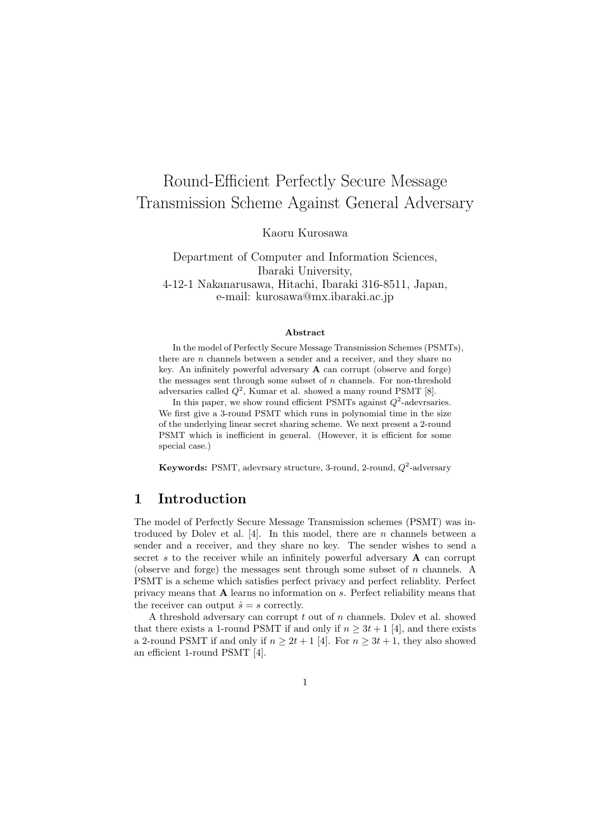# Round-Efficient Perfectly Secure Message Transmission Scheme Against General Adversary

Kaoru Kurosawa

Department of Computer and Information Sciences, Ibaraki University, 4-12-1 Nakanarusawa, Hitachi, Ibaraki 316-8511, Japan, e-mail: kurosawa@mx.ibaraki.ac.jp

#### **Abstract**

In the model of Perfectly Secure Message Transmission Schemes (PSMTs), there are *n* channels between a sender and a receiver, and they share no key. An infinitely powerful adversary **A** can corrupt (observe and forge) the messages sent through some subset of *n* channels. For non-threshold adversaries called  $Q^2$ , Kumar et al. showed a many round PSMT [8].

In this paper, we show round efficient PSMTs against  $Q^2$ -adevrsaries. We first give a 3-round PSMT which runs in polynomial time in the size of the underlying linear secret sharing scheme. We next present a 2-round PSMT which is inefficient in general. (However, it is efficient for some special case.)

**Keywords:** PSMT, adevrsary structure, 3-round, 2-round,  $Q^2$ -adversary

### **1 Introduction**

The model of Perfectly Secure Message Transmission schemes (PSMT) was introduced by Dolev et al. [4]. In this model, there are *n* channels between a sender and a receiver, and they share no key. The sender wishes to send a secret *s* to the receiver while an infinitely powerful adversary **A** can corrupt (observe and forge) the messages sent through some subset of *n* channels. A PSMT is a scheme which satisfies perfect privacy and perfect reliablity. Perfect privacy means that **A** learns no information on *s*. Perfect reliability means that the receiver can output  $\hat{s} = s$  correctly.

A threshold adversary can corrupt *t* out of *n* channels. Dolev et al. showed that there exists a 1-round PSMT if and only if  $n \geq 3t + 1$  [4], and there exists a 2-round PSMT if and only if  $n \geq 2t + 1$  [4]. For  $n \geq 3t + 1$ , they also showed an efficient 1-round PSMT [4].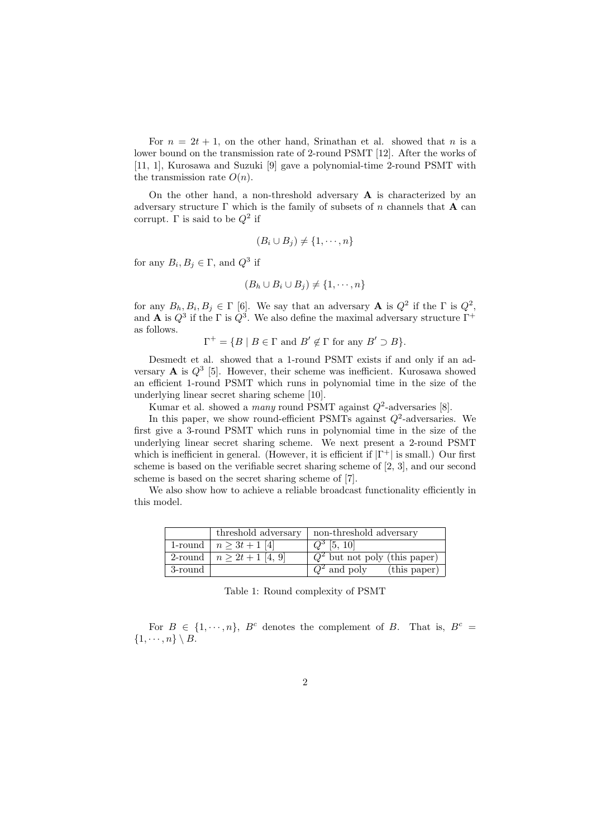For  $n = 2t + 1$ , on the other hand, Srinathan et al. showed that *n* is a lower bound on the transmission rate of 2-round PSMT [12]. After the works of [11, 1], Kurosawa and Suzuki [9] gave a polynomial-time 2-round PSMT with the transmission rate  $O(n)$ .

On the other hand, a non-threshold adversary **A** is characterized by an adversary structure  $\Gamma$  which is the family of subsets of *n* channels that **A** can corrupt. Γ is said to be *Q*<sup>2</sup> if

$$
(B_i \cup B_j) \neq \{1, \cdots, n\}
$$

for any  $B_i, B_j \in \Gamma$ , and  $Q^3$  if

$$
(B_h \cup B_i \cup B_j) \neq \{1, \cdots, n\}
$$

for any  $B_h, B_i, B_j \in \Gamma$  [6]. We say that an adversary **A** is  $Q^2$  if the  $\Gamma$  is  $Q^2$ , and **A** is  $Q^3$  if the  $\Gamma$  is  $Q^3$ . We also define the maximal adversary structure  $\Gamma^+$ as follows.

 $\Gamma^+ = \{ B \mid B \in \Gamma \text{ and } B' \notin \Gamma \text{ for any } B' \supset B \}.$ 

Desmedt et al. showed that a 1-round PSMT exists if and only if an adversary  $\bf{A}$  is  $Q^3$  [5]. However, their scheme was inefficient. Kurosawa showed an efficient 1-round PSMT which runs in polynomial time in the size of the underlying linear secret sharing scheme [10].

Kumar et al. showed a *many* round PSMT against *Q*<sup>2</sup> -adversaries [8].

In this paper, we show round-efficient PSMTs against  $Q^2$ -adversaries. We first give a 3-round PSMT which runs in polynomial time in the size of the underlying linear secret sharing scheme. We next present a 2-round PSMT which is inefficient in general. (However, it is efficient if *|*Γ <sup>+</sup>*|* is small.) Our first scheme is based on the verifiable secret sharing scheme of [2, 3], and our second scheme is based on the secret sharing scheme of [7].

We also show how to achieve a reliable broadcast functionality efficiently in this model.

|         | threshold adversary           | non-threshold adversary                |  |
|---------|-------------------------------|----------------------------------------|--|
|         | 1-round $ n \geq 3t + 1$ [4]  | $Q^3$ [5, 10]                          |  |
|         | 2-round $ n \geq 2t+1$ [4, 9] | $\sqrt{Q^2}$ but not poly (this paper) |  |
| 3-round |                               | $Q^2$ and poly<br>(this paper)         |  |

Table 1: Round complexity of PSMT

For  $B \in \{1, \dots, n\}$ ,  $B^c$  denotes the complement of *B*. That is,  $B^c =$  $\{1, \cdots, n\} \setminus B$ .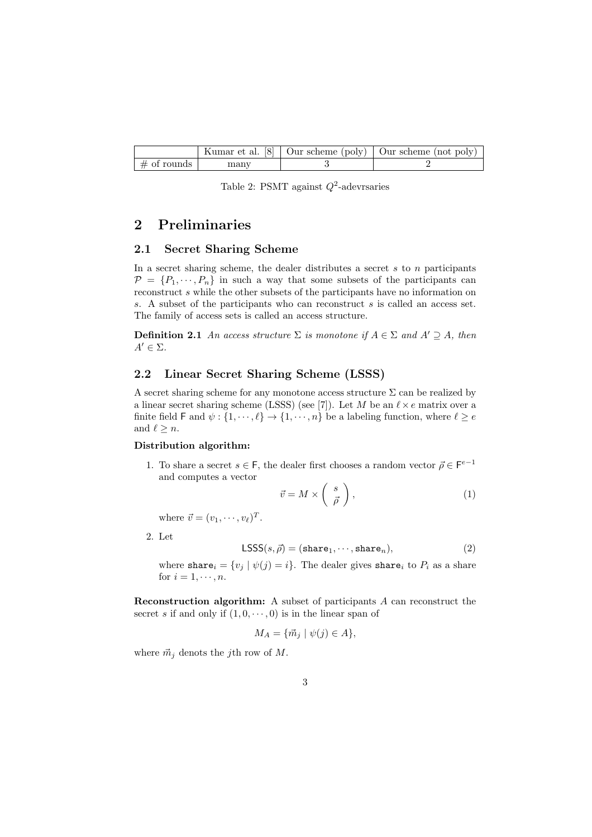|                |      | Kumar et al. $\sqrt{8}$   Our scheme (poly)   Our scheme (not poly) |
|----------------|------|---------------------------------------------------------------------|
| $\#$ of rounds | manv |                                                                     |

Table 2: PSMT against *Q*<sup>2</sup> -adevrsaries

## **2 Preliminaries**

#### **2.1 Secret Sharing Scheme**

In a secret sharing scheme, the dealer distributes a secret *s* to *n* participants  $P = \{P_1, \dots, P_n\}$  in such a way that some subsets of the participants can reconstruct *s* while the other subsets of the participants have no information on *s*. A subset of the participants who can reconstruct *s* is called an access set. The family of access sets is called an access structure.

**Definition 2.1** *An access structure*  $\Sigma$  *is monotone if*  $A \in \Sigma$  *and*  $A' \supseteq A$ *, then*  $A' \in \Sigma$ *.* 

#### **2.2 Linear Secret Sharing Scheme (LSSS)**

A secret sharing scheme for any monotone access structure  $\Sigma$  can be realized by a linear secret sharing scheme (LSSS) (see [7]). Let *M* be an  $\ell \times e$  matrix over a finite field F and  $\psi$  :  $\{1, \dots, \ell\} \rightarrow \{1, \dots, n\}$  be a labeling function, where  $\ell \ge e$ and  $\ell \geq n$ .

#### **Distribution algorithm:**

1. To share a secret  $s \in \mathsf{F}$ , the dealer first chooses a random vector  $\vec{\rho} \in \mathsf{F}^{e-1}$ and computes a vector

$$
\vec{v} = M \times \left(\begin{array}{c} s \\ \vec{\rho} \end{array}\right),\tag{1}
$$

where  $\vec{v} = (v_1, \dots, v_\ell)^T$ .

2. Let

$$
\text{LSSS}(s,\vec{\rho}) = (\text{share}_1, \cdots, \text{share}_n),\tag{2}
$$

where share<sub>*i*</sub> =  $\{v_j | \psi(j) = i\}$ . The dealer gives share<sub>*i*</sub> to  $P_i$  as a share for  $i = 1, \dots, n$ .

**Reconstruction algorithm:** A subset of participants *A* can reconstruct the secret *s* if and only if  $(1, 0, \dots, 0)$  is in the linear span of

$$
M_A = \{ \vec{m}_j \mid \psi(j) \in A \},\
$$

where  $\vec{m}_j$  denots the *j*th row of *M*.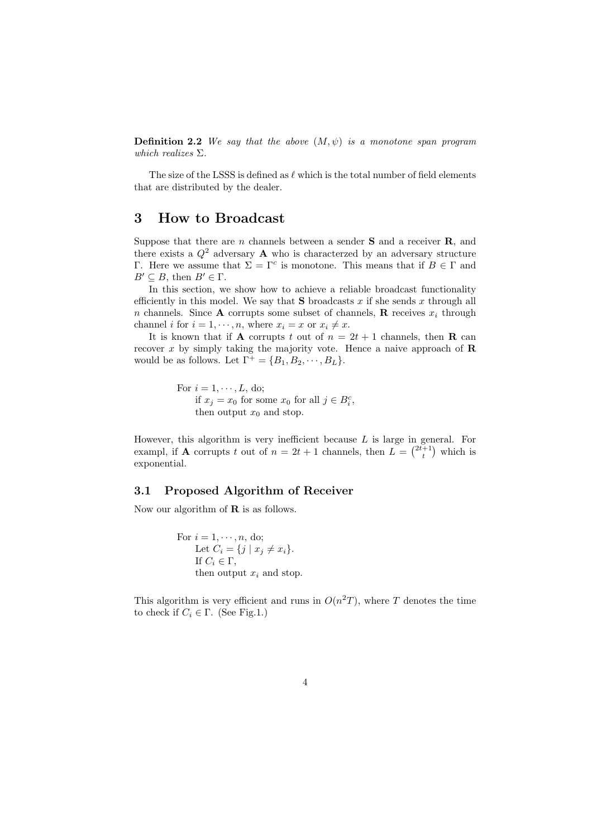**Definition 2.2** *We say that the above* (*M, ψ*) *is a monotone span program which realizes* Σ*.*

The size of the LSSS is defined as *ℓ* which is the total number of field elements that are distributed by the dealer.

### **3 How to Broadcast**

Suppose that there are *n* channels between a sender **S** and a receiver **R**, and there exists a  $Q^2$  adversary **A** who is characterzed by an adversary structure Γ. Here we assume that  $\Sigma = Γ^c$  is monotone. This means that if  $B ∈ Γ$  and  $B' \subseteq B$ , then  $B' \in \Gamma$ .

In this section, we show how to achieve a reliable broadcast functionality efficiently in this model. We say that **S** broadcasts *x* if she sends *x* through all *n* channels. Since **A** corrupts some subset of channels, **R** receives  $x_i$  through channel *i* for  $i = 1, \dots, n$ , where  $x_i = x$  or  $x_i \neq x$ .

It is known that if **A** corrupts *t* out of  $n = 2t + 1$  channels, then **R** can recover *x* by simply taking the majority vote. Hence a naive approach of **R** would be as follows. Let  $\Gamma^+ = \{B_1, B_2, \cdots, B_L\}.$ 

> For  $i = 1, \dots, L$ , do; if  $x_j = x_0$  for some  $x_0$  for all  $j \in B_i^c$ , then output  $x_0$  and stop.

However, this algorithm is very inefficient because *L* is large in general. For exampl, if **A** corrupts *t* out of  $n = 2t + 1$  channels, then  $L = \binom{2t+1}{t}$  which is exponential.

#### **3.1 Proposed Algorithm of Receiver**

Now our algorithm of **R** is as follows.

For  $i = 1, \dots, n$ , do; Let  $C_i = \{j \mid x_j \neq x_i\}.$ If  $C_i \in \Gamma$ , then output  $x_i$  and stop.

This algorithm is very efficient and runs in  $O(n^2T)$ , where *T* denotes the time to check if  $C_i \in \Gamma$ . (See Fig.1.)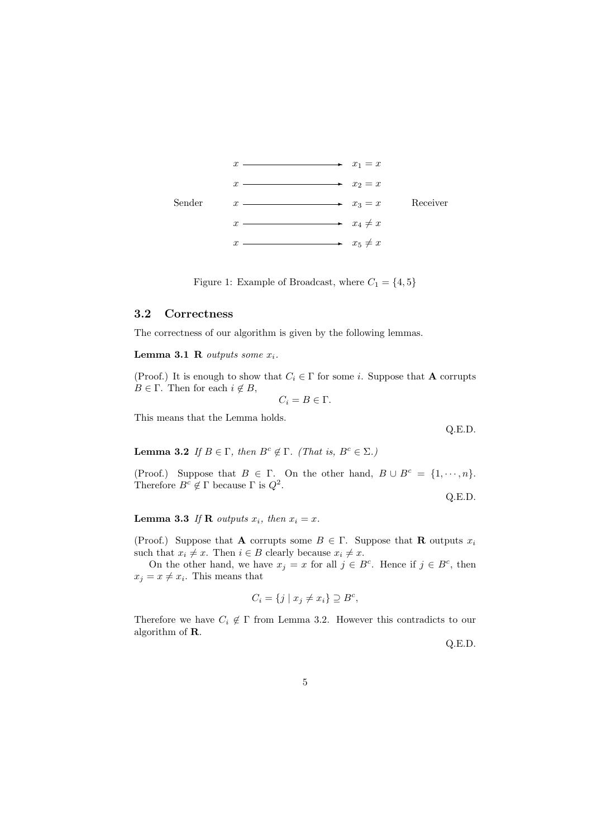

Figure 1: Example of Broadcast, where  $C_1 = \{4, 5\}$ 

#### **3.2 Correctness**

The correctness of our algorithm is given by the following lemmas.

**Lemma 3.1 R** *outputs some*  $x_i$ *.* 

(Proof.) It is enough to show that  $C_i \in \Gamma$  for some *i*. Suppose that **A** corrupts  $B \in \Gamma$ . Then for each  $i \notin B$ ,

 $C_i = B \in \Gamma$ *.* 

This means that the Lemma holds.

**Lemma 3.2** *If*  $B \in \Gamma$ *, then*  $B^c \notin \Gamma$ *. (That is,*  $B^c \in \Sigma$ *.)* 

(Proof.) Suppose that  $B \in \Gamma$ . On the other hand,  $B \cup B^c = \{1, \dots, n\}$ . Therefore  $B^c \notin \Gamma$  because  $\Gamma$  is  $Q^2$ .

Q.E.D.

Q.E.D.

**Lemma 3.3** *If* **R** *outputs*  $x_i$ *, then*  $x_i = x$ *.* 

(Proof.) Suppose that **A** corrupts some  $B \in \Gamma$ . Suppose that **R** outputs  $x_i$ such that  $x_i \neq x$ . Then  $i \in B$  clearly because  $x_i \neq x$ .

On the other hand, we have  $x_j = x$  for all  $j \in B^c$ . Hence if  $j \in B^c$ , then  $x_j = x \neq x_i$ . This means that

$$
C_i = \{ j \mid x_j \neq x_i \} \supseteq B^c,
$$

Therefore we have  $C_i \notin \Gamma$  from Lemma 3.2. However this contradicts to our algorithm of **R**.

Q.E.D.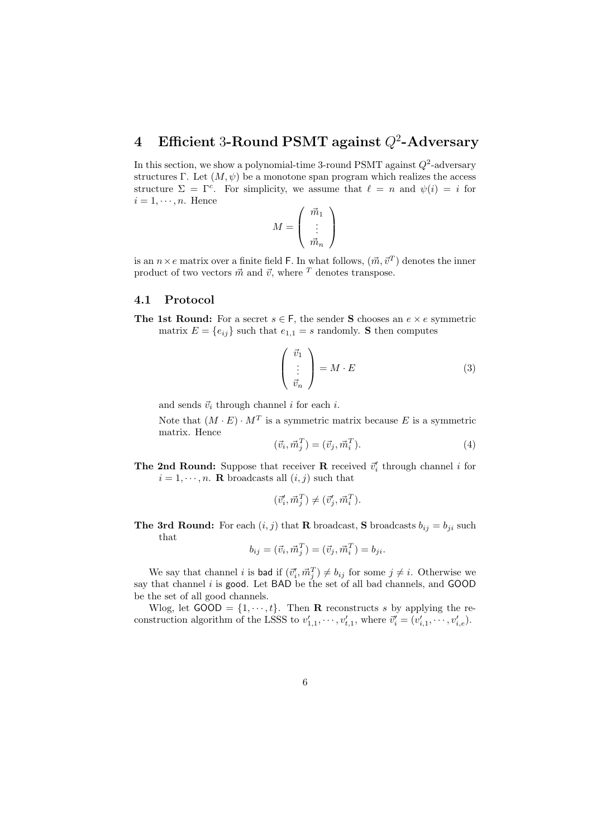## **4 Efficient** 3**-Round PSMT against** *Q*<sup>2</sup> **-Adversary**

In this section, we show a polynomial-time 3-round PSMT against  $Q^2$ -adversary structures Γ. Let  $(M, \psi)$  be a monotone span program which realizes the access structure  $\Sigma = \Gamma^c$ . For simplicity, we assume that  $\ell = n$  and  $\psi(i) = i$  for  $i = 1, \dots, n$ . Hence

$$
M = \left(\begin{array}{c} \vec{m}_1 \\ \vdots \\ \vec{m}_n \end{array}\right)
$$

is an  $n \times e$  matrix over a finite field F. In what follows,  $(\vec{m}, \vec{v}^T)$  denotes the inner product of two vectors  $\vec{m}$  and  $\vec{v}$ , where  $\vec{T}$  denotes transpose.

#### **4.1 Protocol**

**The 1st Round:** For a secret  $s \in F$ , the sender **S** chooses an  $e \times e$  symmetric matrix  $E = \{e_{ij}\}\$  such that  $e_{1,1} = s$  randomly. **S** then computes

$$
\begin{pmatrix} \vec{v}_1 \\ \vdots \\ \vec{v}_n \end{pmatrix} = M \cdot E \tag{3}
$$

and sends  $\vec{v}_i$  through channel *i* for each *i*.

Note that  $(M \cdot E) \cdot M^T$  is a symmetric matrix because E is a symmetric matrix. Hence

$$
(\vec{v}_i, \vec{m}_j^T) = (\vec{v}_j, \vec{m}_i^T). \tag{4}
$$

**The 2nd Round:** Suppose that receiver **R** received  $\vec{v}'_i$  through channel *i* for  $i = 1, \dots, n$ . **R** broadcasts all  $(i, j)$  such that

$$
(\vec{v}'_i, \vec{m}_j^T) \neq (\vec{v}'_j, \vec{m}_i^T).
$$

**The 3rd Round:** For each  $(i, j)$  that **R** broadcast, **S** broadcasts  $b_{ij} = b_{ji}$  such that

$$
b_{ij} = (\vec{v}_i, \vec{m}_j^T) = (\vec{v}_j, \vec{m}_i^T) = b_{ji}.
$$

We say that channel *i* is **bad** if  $(\vec{v}'_i, \vec{m}_j^T) \neq b_{ij}$  for some  $j \neq i$ . Otherwise we say that channel *i* is good. Let BAD be the set of all bad channels, and GOOD be the set of all good channels.

Wlog, let  $GOOD = \{1, \dots, t\}$ . Then **R** reconstructs *s* by applying the reconstruction algorithm of the LSSS to  $v'_{1,1}, \dots, v'_{t,1}$ , where  $\vec{v}'_i = (v'_{i,1}, \dots, v'_{i,e}).$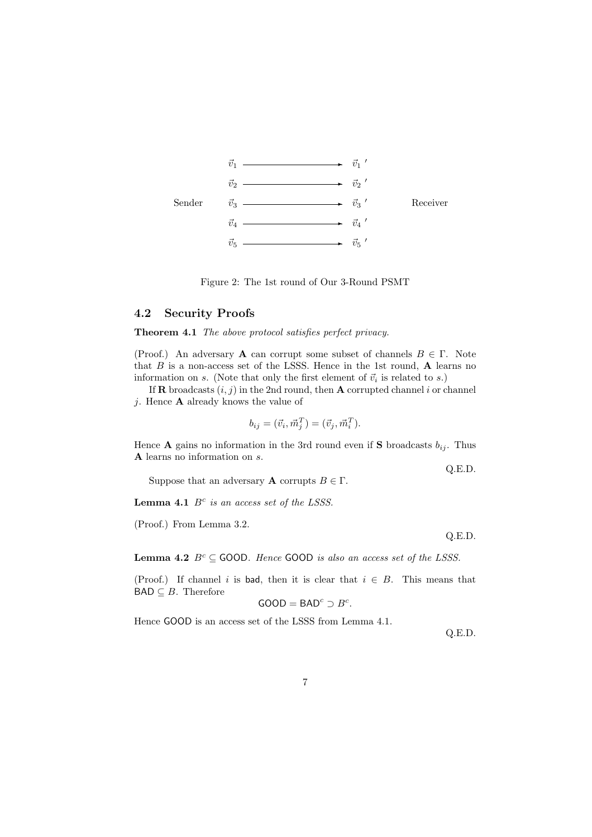

Figure 2: The 1st round of Our 3-Round PSMT

#### **4.2 Security Proofs**

#### **Theorem 4.1** *The above protocol satisfies perfect privacy.*

(Proof.) An adversary **A** can corrupt some subset of channels  $B \in \Gamma$ . Note that *B* is a non-access set of the LSSS. Hence in the 1st round, **A** learns no information on *s*. (Note that only the first element of  $\vec{v}_i$  is related to *s*.)

If **R** broadcasts  $(i, j)$  in the 2nd round, then **A** corrupted channel *i* or channel *j*. Hence **A** already knows the value of

$$
b_{ij} = (\vec{v}_i, \vec{m}_j^T) = (\vec{v}_j, \vec{m}_i^T).
$$

Hence **A** gains no information in the 3rd round even if **S** broadcasts  $b_{ij}$ . Thus **A** learns no information on *s*.

Q.E.D. Suppose that an adversary **A** corrupts  $B \in \Gamma$ .

**Lemma 4.1** *B<sup>c</sup> is an access set of the LSSS.*

(Proof.) From Lemma 3.2.

Q.E.D.

**Lemma 4.2**  $B^c \subseteq$  GOOD. Hence GOOD *is also an access set of the LSSS*.

(Proof.) If channel *i* is bad, then it is clear that  $i \in B$ . This means that  $\mathsf{BAD}\subseteq B.$  Therefore

$$
\mathsf{GOOD} = \mathsf{BAD}^c \supset B^c.
$$

Hence GOOD is an access set of the LSSS from Lemma 4.1.

Q.E.D.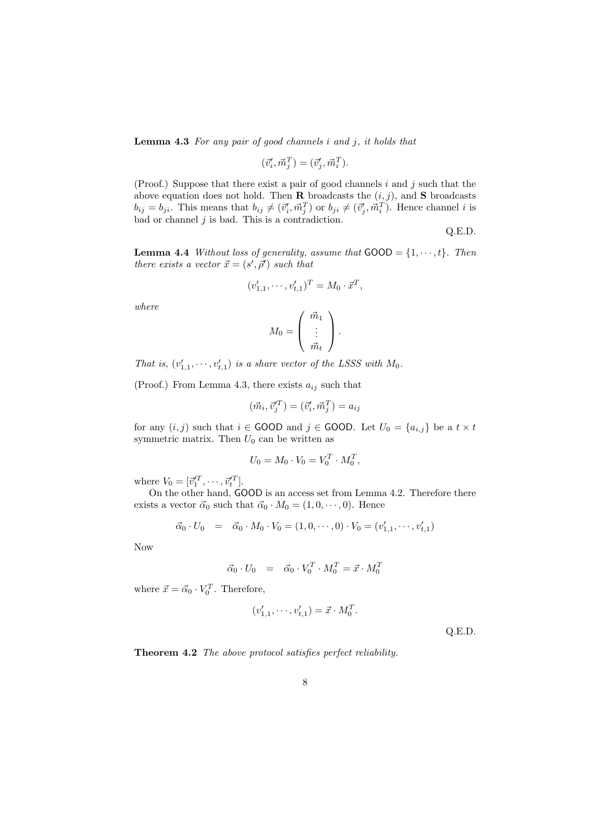**Lemma 4.3** *For any pair of good channels i and j, it holds that*

$$
(\vec{v}'_i, \vec{m}_j^T) = (\vec{v}'_j, \vec{m}_i^T).
$$

(Proof.) Suppose that there exist a pair of good channels *i* and *j* such that the above equation does not hold. Then **R** broadcasts the  $(i, j)$ , and **S** broadcasts  $b_{ij} = b_{ji}$ . This means that  $b_{ij} \neq (\vec{v}'_i, \vec{m}_j^T)$  or  $b_{ji} \neq (\vec{v}'_j, \vec{m}_i^T)$ . Hence channel i is bad or channel *j* is bad. This is a contradiction.

Q.E.D.

**Lemma 4.4** *Without loss of generality, assume that*  $\text{GOOD} = \{1, \dots, t\}$ *. Then there exists a vector*  $\vec{x} = (s', \vec{\rho}')$  *such that* 

$$
(v'_{1,1}, \cdots, v'_{t,1})^T = M_0 \cdot \vec{x}^T,
$$

*where*

$$
M_0 = \left(\begin{array}{c} \vec{m}_1 \\ \vdots \\ \vec{m}_t \end{array}\right).
$$

*That is,*  $(v'_{1,1}, \dots, v'_{t,1})$  *is a share vector of the LSSS with*  $M_0$ .

(Proof.) From Lemma 4.3, there exists  $a_{ij}$  such that

$$
(\vec{m}_i, \vec{v}_j^T) = (\vec{v}_i', \vec{m}_j^T) = a_{ij}
$$

for any  $(i, j)$  such that  $i \in$  GOOD and  $j \in$  GOOD. Let  $U_0 = \{a_{i,j}\}\$ be a  $t \times t$ symmetric matrix. Then  $U_0$  can be written as

$$
U_0 = M_0 \cdot V_0 = V_0^T \cdot M_0^T,
$$

where  $V_0 = [\vec{v}_1^{\prime T}, \cdots, \vec{v}_t^{\prime T}].$ 

On the other hand, GOOD is an access set from Lemma 4.2. Therefore there exists a vector  $\vec{\alpha}_0$  such that  $\vec{\alpha}_0 \cdot M_0 = (1, 0, \dots, 0)$ . Hence

$$
\vec{\alpha}_0 \cdot U_0 = \vec{\alpha}_0 \cdot M_0 \cdot V_0 = (1, 0, \cdots, 0) \cdot V_0 = (v'_{1,1}, \cdots, v'_{t,1})
$$

Now

$$
\vec{\alpha}_0 \cdot U_0 = \vec{\alpha}_0 \cdot V_0^T \cdot M_0^T = \vec{x} \cdot M_0^T
$$

where  $\vec{x} = \vec{\alpha}_0 \cdot V_0^T$ . Therefore,

$$
(v'_{1,1}, \cdots, v'_{t,1}) = \vec{x} \cdot M_0^T.
$$

Q.E.D.

**Theorem 4.2** *The above protocol satisfies perfect reliability.*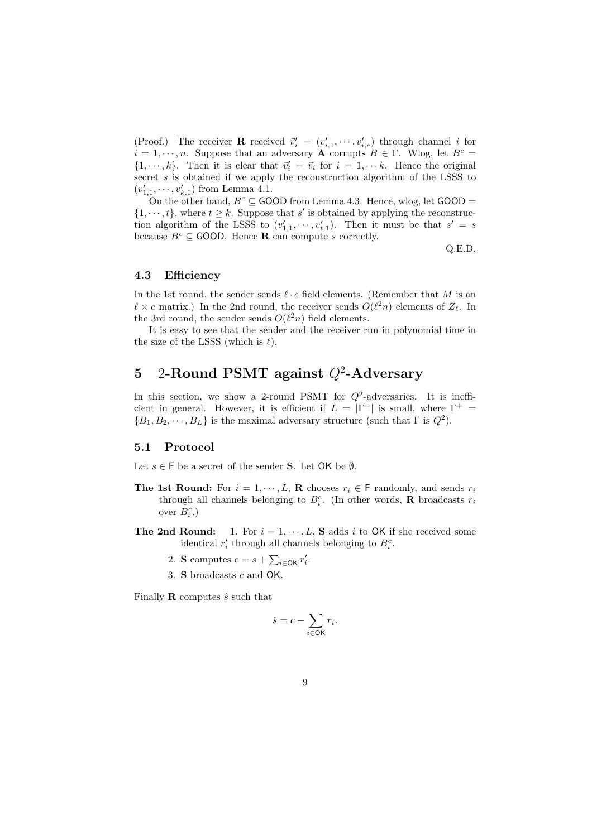(Proof.) The receiver **R** received  $\vec{v}'_i = (v'_{i,1}, \dots, v'_{i,e})$  through channel *i* for  $i = 1, \dots, n$ . Suppose that an adversary **A** corrupts  $B \in \Gamma$ . Wlog, let  $B^c =$  $\{1, \dots, k\}$ . Then it is clear that  $\vec{v}'_i = \vec{v}_i$  for  $i = 1, \dots k$ . Hence the original secret *s* is obtained if we apply the reconstruction algorithm of the LSSS to  $(v'_{1,1}, \dots, v'_{k,1})$  from Lemma 4.1.

On the other hand,  $B^c \subseteq$  GOOD from Lemma 4.3. Hence, wlog, let GOOD =  $\{1, \dots, t\}$ , where  $t \geq k$ . Suppose that *s*' is obtained by applying the reconstruction algorithm of the LSSS to  $(v'_{1,1}, \dots, v'_{t,1})$ . Then it must be that  $s' = s$ because  $B^c \subseteq$  GOOD. Hence **R** can compute *s* correctly.

Q.E.D.

#### **4.3 Efficiency**

In the 1st round, the sender sends *ℓ · e* field elements. (Remember that *M* is an  $\ell \times e$  matrix.) In the 2nd round, the receiver sends  $O(\ell^2 n)$  elements of  $Z_{\ell}$ . In the 3rd round, the sender sends  $O(\ell^2 n)$  field elements.

It is easy to see that the sender and the receiver run in polynomial time in the size of the LSSS (which is *ℓ*).

## **5** 2**-Round PSMT against** *Q*<sup>2</sup> **-Adversary**

In this section, we show a 2-round PSMT for  $Q^2$ -adversaries. It is inefficient in general. However, it is efficient if  $L = |\Gamma^+|$  is small, where  $\Gamma^+$  =  ${B_1, B_2, \dots, B_L}$  is the maximal adversary structure (such that  $\Gamma$  is  $Q^2$ ).

#### **5.1 Protocol**

Let  $s \in \mathsf{F}$  be a secret of the sender **S**. Let  $\mathsf{OK}$  be  $\emptyset$ .

- **The 1st Round:** For  $i = 1, \dots, L$ , **R** chooses  $r_i \in F$  randomly, and sends  $r_i$ through all channels belonging to  $B_i^c$ . (In other words, **R** broadcasts  $r_i$ over  $B_i^c$ .)
- **The 2nd Round:** 1. For  $i = 1, \dots, L$ , **S** adds *i* to OK if she received some identical  $r'_i$  through all channels belonging to  $B_i^c$ .
	- 2. **S** computes  $c = s + \sum_{i \in \mathsf{OK}} r'_i$ .
	- 3. **S** broadcasts *c* and OK.

Finally **R** computes  $\hat{s}$  such that

$$
\hat{s} = c - \sum_{i \in \mathsf{OK}} r_i.
$$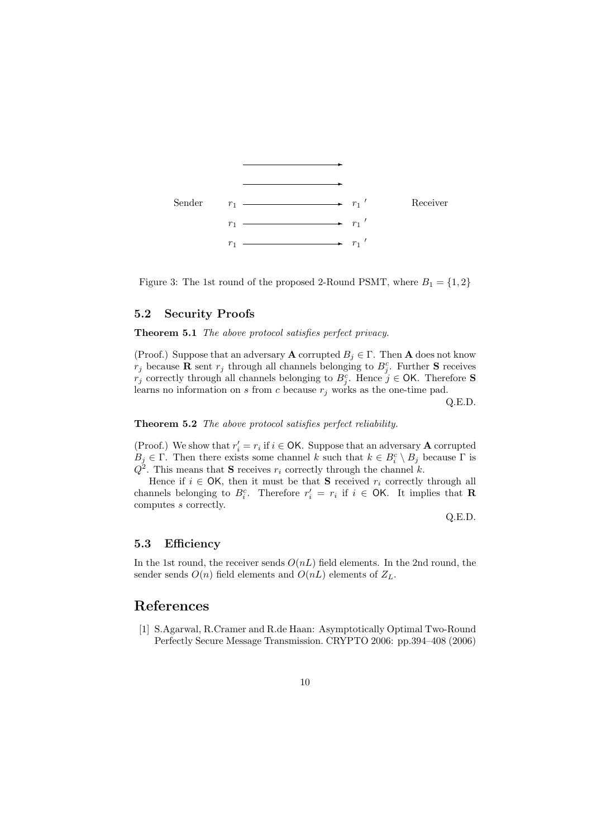

Figure 3: The 1st round of the proposed 2-Round PSMT, where  $B_1 = \{1, 2\}$ 

#### **5.2 Security Proofs**

**Theorem 5.1** *The above protocol satisfies perfect privacy.*

(Proof.) Suppose that an adversary **A** corrupted  $B_i \in \Gamma$ . Then **A** does not know  $r_j$  because **R** sent  $r_j$  through all channels belonging to  $B_j^c$ . Further **S** receives *r*<sup>*j*</sup> correctly through all channels belonging to  $B_j^c$ . Hence  $j \in \text{OK}$ . Therefore **S** learns no information on  $s$  from  $c$  because  $r_j$  works as the one-time pad.

Q.E.D.

#### **Theorem 5.2** *The above protocol satisfies perfect reliability.*

(Proof.) We show that  $r'_i = r_i$  if  $i \in \mathsf{OK}$ . Suppose that an adversary **A** corrupted  $B_j \in \Gamma$ . Then there exists some channel *k* such that  $k \in B_i^c \setminus B_j$  because  $\Gamma$  is  $Q^2$ . This means that **S** receives  $r_i$  correctly through the channel *k*.

Hence if  $i \in \mathsf{OK}$ , then it must be that **S** received  $r_i$  correctly through all channels belonging to  $B_i^c$ . Therefore  $r'_i = r_i$  if  $i \in \mathsf{OK}$ . It implies that **R** computes *s* correctly.

Q.E.D.

#### **5.3 Efficiency**

In the 1st round, the receiver sends *O*(*nL*) field elements. In the 2nd round, the sender sends  $O(n)$  field elements and  $O(nL)$  elements of  $Z_L$ .

#### **References**

[1] S.Agarwal, R.Cramer and R.de Haan: Asymptotically Optimal Two-Round Perfectly Secure Message Transmission. CRYPTO 2006: pp.394–408 (2006)